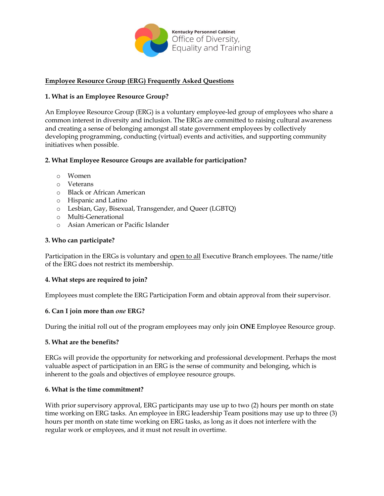

# **Employee Resource Group (ERG) Frequently Asked Questions**

## **1. What is an Employee Resource Group?**

An Employee Resource Group (ERG) is a voluntary employee-led group of employees who share a common interest in diversity and inclusion. The ERGs are committed to raising cultural awareness and creating a sense of belonging amongst all state government employees by collectively developing programming, conducting (virtual) events and activities, and supporting community initiatives when possible.

# **2. What Employee Resource Groups are available for participation?**

- o Women
- o Veterans
- o Black or African American
- o Hispanic and Latino
- o Lesbian, Gay, Bisexual, Transgender, and Queer (LGBTQ)
- o Multi-Generational
- o Asian American or Pacific Islander

## **3. Who can participate?**

Participation in the ERGs is voluntary and open to all Executive Branch employees. The name/title of the ERG does not restrict its membership.

## **4. What steps are required to join?**

Employees must complete the ERG Participation Form and obtain approval from their supervisor.

#### **6. Can I join more than** *one* **ERG?**

During the initial roll out of the program employees may only join **ONE** Employee Resource group.

#### **5. What are the benefits?**

ERGs will provide the opportunity for networking and professional development. Perhaps the most valuable aspect of participation in an ERG is the sense of community and belonging, which is inherent to the goals and objectives of employee resource groups.

## **6. What is the time commitment?**

With prior supervisory approval, ERG participants may use up to two (2) hours per month on state time working on ERG tasks. An employee in ERG leadership Team positions may use up to three (3) hours per month on state time working on ERG tasks, as long as it does not interfere with the regular work or employees, and it must not result in overtime.